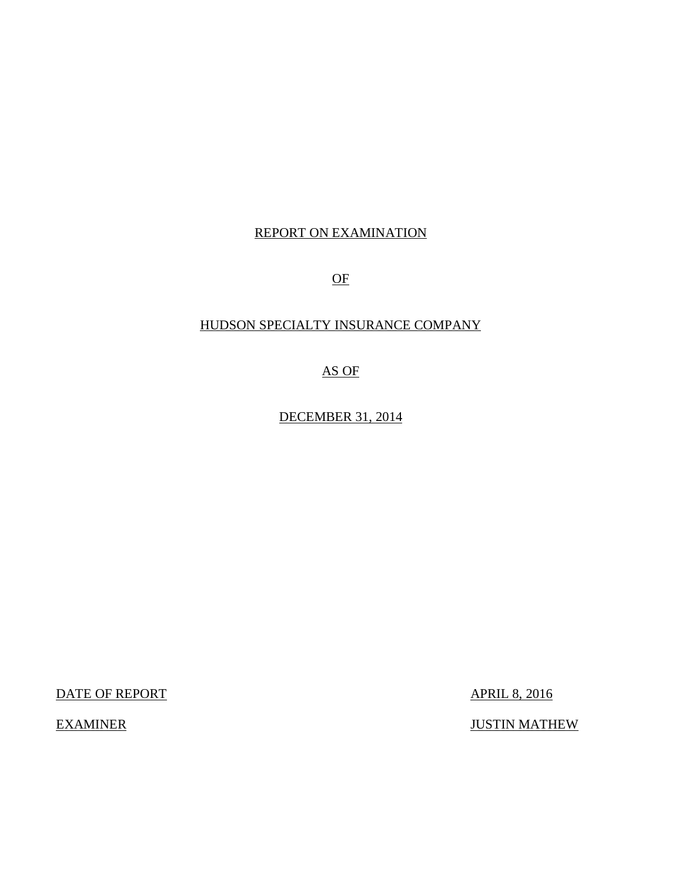# REPORT ON EXAMINATION

OF

# HUDSON SPECIALTY INSURANCE COMPANY

AS OF

DECEMBER 31, 2014

DATE OF REPORT APRIL 8, 2016

**EXAMINER** 

**JUSTIN MATHEW**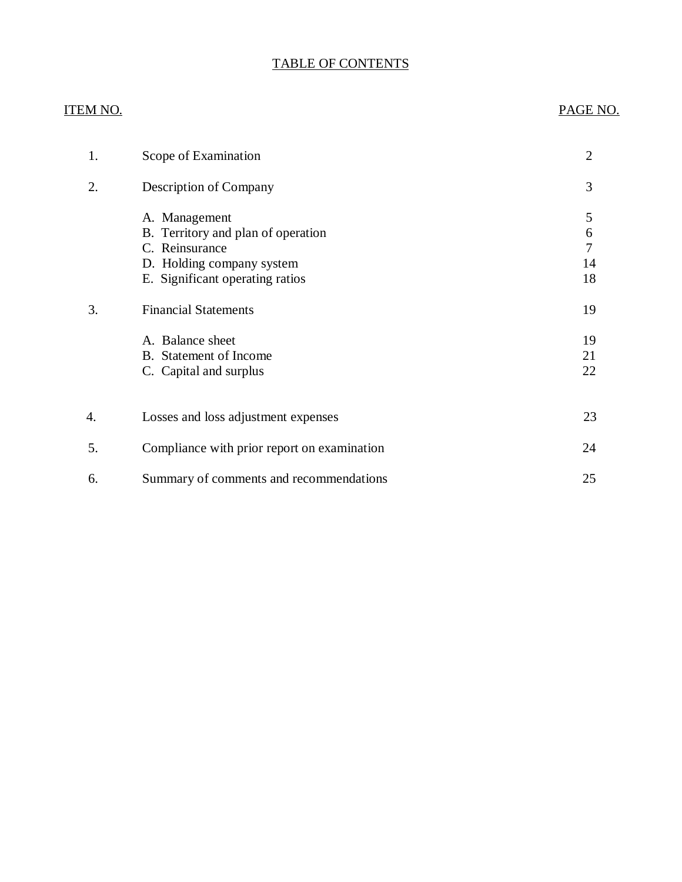# TABLE OF CONTENTS

| ITEM NO. |                                                                                                                                                                      | PAGE NO.                                   |
|----------|----------------------------------------------------------------------------------------------------------------------------------------------------------------------|--------------------------------------------|
| 1.       | Scope of Examination                                                                                                                                                 | $\mathbf{2}$                               |
| 2.       | <b>Description of Company</b>                                                                                                                                        | 3                                          |
| 3.       | A. Management<br>B. Territory and plan of operation<br>C. Reinsurance<br>D. Holding company system<br>E. Significant operating ratios<br><b>Financial Statements</b> | 5<br>6<br>$\overline{7}$<br>14<br>18<br>19 |
|          | A. Balance sheet<br><b>B.</b> Statement of Income<br>C. Capital and surplus                                                                                          | 19<br>21<br>22                             |
| 4.       | Losses and loss adjustment expenses                                                                                                                                  | 23                                         |
| 5.       | Compliance with prior report on examination                                                                                                                          | 24                                         |
| 6.       | Summary of comments and recommendations                                                                                                                              | 25                                         |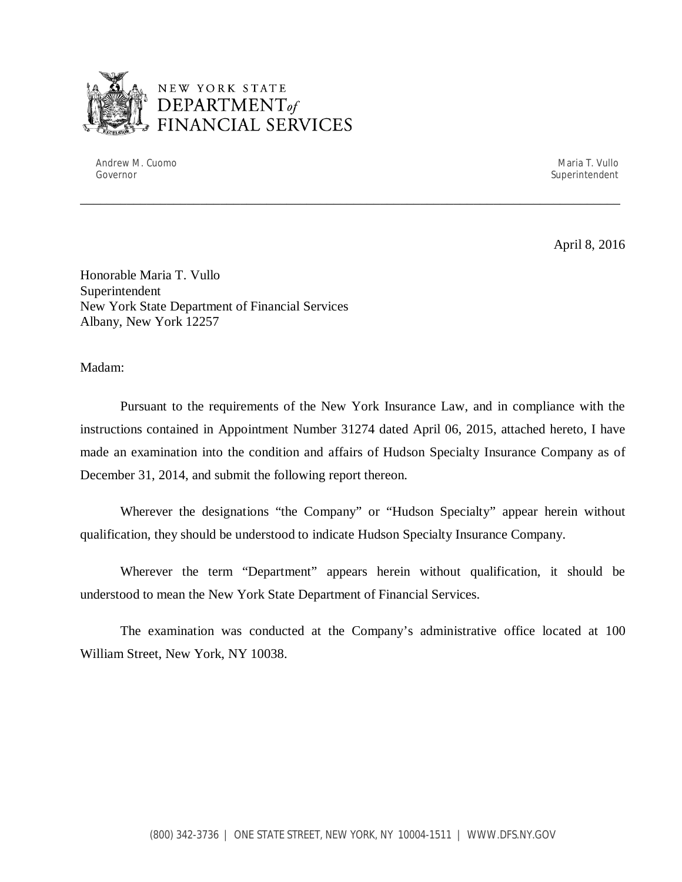

# NEW YORK STATE <sup>1</sup>*DEPARTMENTof*  FINANCIAL SERVICES

Andrew M. Cuomo National Andrew Maria T. Vullo National Andrew Maria T. Vullo National Andrew Maria T. Vullo N Governor Superintendent Superintendent Superintendent Superintendent Superintendent Superintendent Superintendent Superintendent Superintendent Superintendent Superintendent Superintendent Superintendent Superintendent Sup

April 8, 2016

 Honorable Maria T. Vullo Superintendent Superintendent<br>New York State Department of Financial Services Albany, New York 12257

Madam:

 Pursuant to the requirements of the New York Insurance Law, and in compliance with the instructions contained in Appointment Number 31274 dated April 06, 2015, attached hereto, I have made an examination into the condition and affairs of Hudson Specialty Insurance Company as of December 31, 2014, and submit the following report thereon.

\_\_\_\_\_\_\_\_\_\_\_\_\_\_\_\_\_\_\_\_\_\_\_\_\_\_\_\_\_\_\_\_\_\_\_\_\_\_\_\_\_\_\_\_\_\_\_\_\_\_\_\_\_\_\_\_\_\_\_\_\_\_\_\_\_\_\_\_\_\_\_\_\_\_\_\_\_\_\_\_\_

 Wherever the designations "the Company" or "Hudson Specialty" appear herein without qualification, they should be understood to indicate Hudson Specialty Insurance Company.

 Wherever the term "Department" appears herein without qualification, it should be understood to mean the New York State Department of Financial Services.

 William Street, New York, NY 10038. The examination was conducted at the Company's administrative office located at 100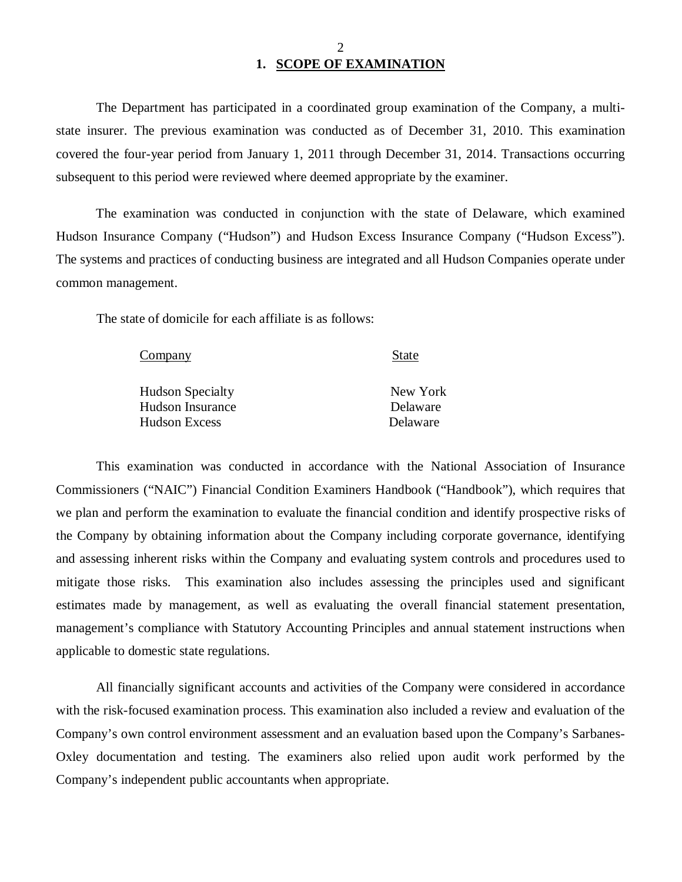# **1. SCOPE OF EXAMINATION**

 state insurer. The previous examination was conducted as of December 31, 2010. This examination covered the four-year period from January 1, 2011 through December 31, 2014. Transactions occurring subsequent to this period were reviewed where deemed appropriate by the examiner. The Department has participated in a coordinated group examination of the Company, a multi-

 Hudson Insurance Company ("Hudson") and Hudson Excess Insurance Company ("Hudson Excess"). The systems and practices of conducting business are integrated and all Hudson Companies operate under common management. The examination was conducted in conjunction with the state of Delaware, which examined

The state of domicile for each affiliate is as follows:

| Company                 | <b>State</b> |
|-------------------------|--------------|
| <b>Hudson Specialty</b> | New York     |
| Hudson Insurance        | Delaware     |
| <b>Hudson Excess</b>    | Delaware     |

 Commissioners ("NAIC") Financial Condition Examiners Handbook ("Handbook"), which requires that we plan and perform the examination to evaluate the financial condition and identify prospective risks of the Company by obtaining information about the Company including corporate governance, identifying and assessing inherent risks within the Company and evaluating system controls and procedures used to mitigate those risks. This examination also includes assessing the principles used and significant estimates made by management, as well as evaluating the overall financial statement presentation, management's compliance with Statutory Accounting Principles and annual statement instructions when applicable to domestic state regulations. This examination was conducted in accordance with the National Association of Insurance

 with the risk-focused examination process. This examination also included a review and evaluation of the Company's own control environment assessment and an evaluation based upon the Company's Sarbanes- Oxley documentation and testing. The examiners also relied upon audit work performed by the Company's independent public accountants when appropriate. All financially significant accounts and activities of the Company were considered in accordance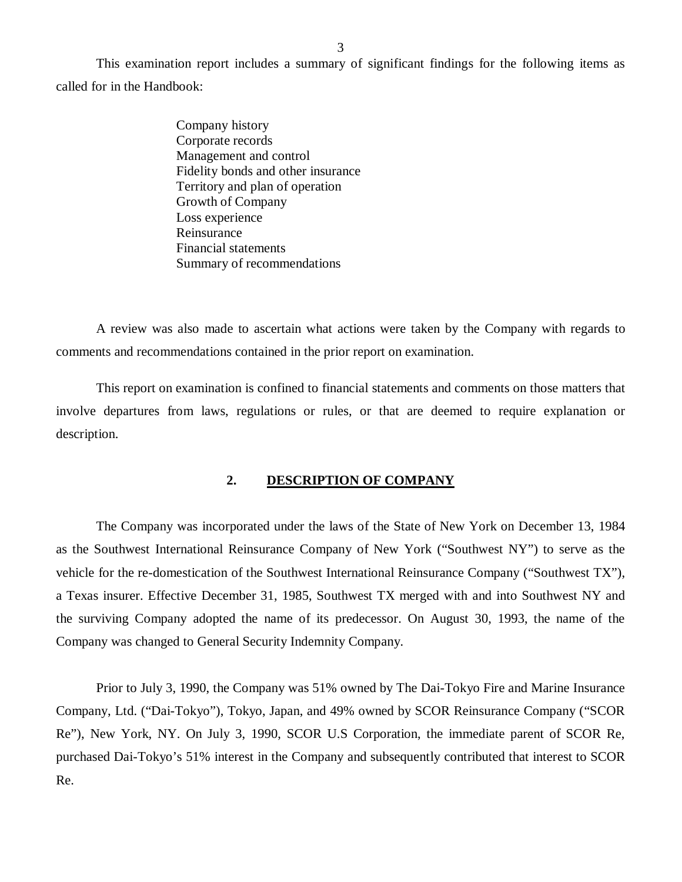<span id="page-4-0"></span> called for in the Handbook: This examination report includes a summary of significant findings for the following items as

> Company history Corporate records Management and control Fidelity bonds and other insurance Territory and plan of operation Growth of Company Loss experience Reinsurance Reinsurance<br>Financial statements Summary of recommendations

 comments and recommendations contained in the prior report on examination. A review was also made to ascertain what actions were taken by the Company with regards to

 involve departures from laws, regulations or rules, or that are deemed to require explanation or This report on examination is confined to financial statements and comments on those matters that description.

#### **2. DESCRIPTION OF COMPANY**

 as the Southwest International Reinsurance Company of New York ("Southwest NY") to serve as the vehicle for the re-domestication of the Southwest International Reinsurance Company ("Southwest TX"), a Texas insurer. Effective December 31, 1985, Southwest TX merged with and into Southwest NY and the surviving Company adopted the name of its predecessor. On August 30, 1993, the name of the Company was changed to General Security Indemnity Company. The Company was incorporated under the laws of the State of New York on December 13, 1984

 Company, Ltd. ("Dai-Tokyo"), Tokyo, Japan, and 49% owned by SCOR Reinsurance Company ("SCOR Re"), New York, NY. On July 3, 1990, SCOR U.S Corporation, the immediate parent of SCOR Re, purchased Dai-Tokyo's 51% interest in the Company and subsequently contributed that interest to SCOR Re. Prior to July 3, 1990, the Company was 51% owned by The Dai-Tokyo Fire and Marine Insurance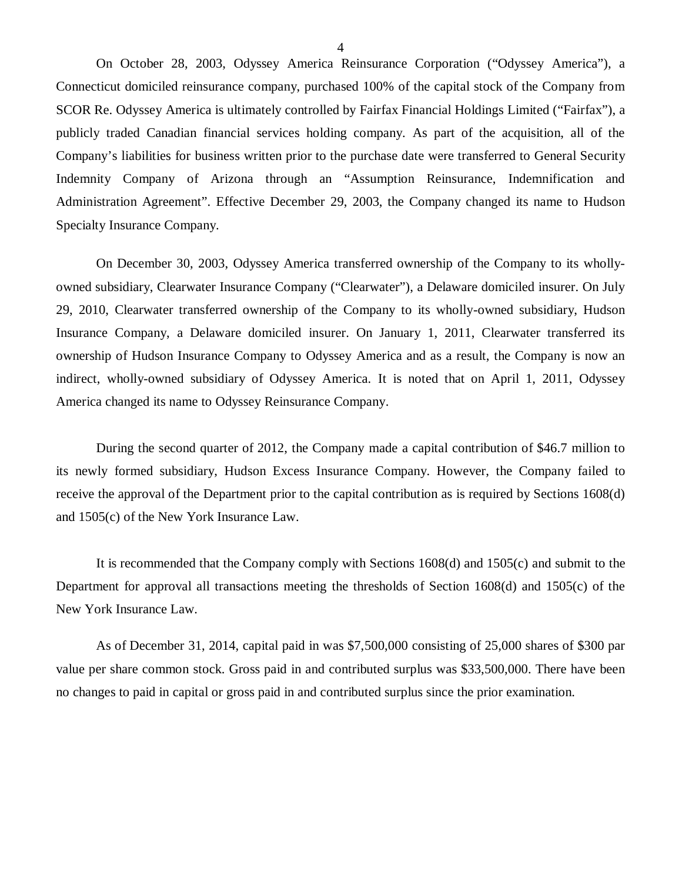Connecticut domiciled reinsurance company, purchased 100% of the capital stock of the Company from SCOR Re. Odyssey America is ultimately controlled by Fairfax Financial Holdings Limited ("Fairfax"), a publicly traded Canadian financial services holding company. As part of the acquisition, all of the Company's liabilities for business written prior to the purchase date were transferred to General Security Indemnity Company of Arizona through an "Assumption Reinsurance, Indemnification and Administration Agreement". Effective December 29, 2003, the Company changed its name to Hudson Specialty Insurance Company. On October 28, 2003, Odyssey America Reinsurance Corporation ("Odyssey America"), a

 On December 30, 2003, Odyssey America transferred ownership of the Company to its wholly- owned subsidiary, Clearwater Insurance Company ("Clearwater"), a Delaware domiciled insurer. On July 29, 2010, Clearwater transferred ownership of the Company to its wholly-owned subsidiary, Hudson Insurance Company, a Delaware domiciled insurer. On January 1, 2011, Clearwater transferred its ownership of Hudson Insurance Company to Odyssey America and as a result, the Company is now an indirect, wholly-owned subsidiary of Odyssey America. It is noted that on April 1, 2011, Odyssey America changed its name to Odyssey Reinsurance Company.

 During the second quarter of 2012, the Company made a capital contribution of \$46.7 million to its newly formed subsidiary, Hudson Excess Insurance Company. However, the Company failed to receive the approval of the Department prior to the capital contribution as is required by Sections 1608(d) and 1505(c) of the New York Insurance Law.

 It is recommended that the Company comply with Sections 1608(d) and 1505(c) and submit to the Department for approval all transactions meeting the thresholds of Section 1608(d) and 1505(c) of the New York Insurance Law.

 As of December 31, 2014, capital paid in was \$7,500,000 consisting of 25,000 shares of \$300 par value per share common stock. Gross paid in and contributed surplus was \$33,500,000. There have been no changes to paid in capital or gross paid in and contributed surplus since the prior examination.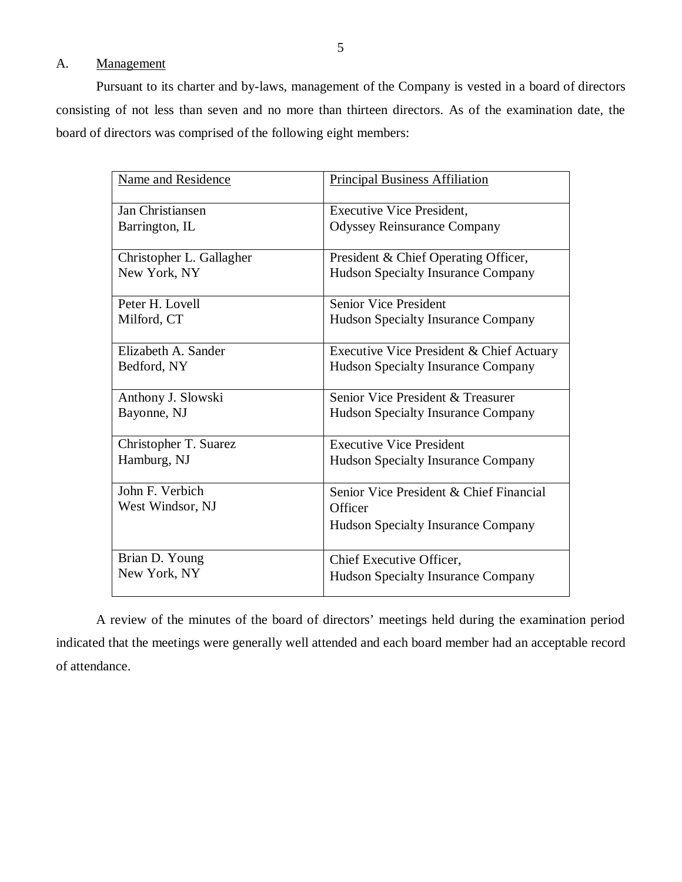# Management

A. Management<br>Pursuant to its charter and by-laws, management of the Company is vested in a board of directors consisting of not less than seven and no more than thirteen directors. As of the examination date, the board of directors was comprised of the following eight members:

| <b>Name and Residence</b> | <b>Principal Business Affiliation</b>     |
|---------------------------|-------------------------------------------|
| Jan Christiansen          | <b>Executive Vice President,</b>          |
| Barrington, IL            | <b>Odyssey Reinsurance Company</b>        |
| Christopher L. Gallagher  | President & Chief Operating Officer,      |
| New York, NY              | <b>Hudson Specialty Insurance Company</b> |
| Peter H. Lovell           | <b>Senior Vice President</b>              |
| Milford, CT               | Hudson Specialty Insurance Company        |
| Elizabeth A. Sander       | Executive Vice President & Chief Actuary  |
| Bedford, NY               | <b>Hudson Specialty Insurance Company</b> |
| Anthony J. Slowski        | Senior Vice President & Treasurer         |
| Bayonne, NJ               | <b>Hudson Specialty Insurance Company</b> |
| Christopher T. Suarez     | <b>Executive Vice President</b>           |
| Hamburg, NJ               | <b>Hudson Specialty Insurance Company</b> |
| John F. Verbich           | Senior Vice President & Chief Financial   |
| West Windsor, NJ          | Officer                                   |
|                           | <b>Hudson Specialty Insurance Company</b> |
| Brian D. Young            | Chief Executive Officer,                  |
| New York, NY              | <b>Hudson Specialty Insurance Company</b> |

 indicated that the meetings were generally well attended and each board member had an acceptable record A review of the minutes of the board of directors' meetings held during the examination period of attendance.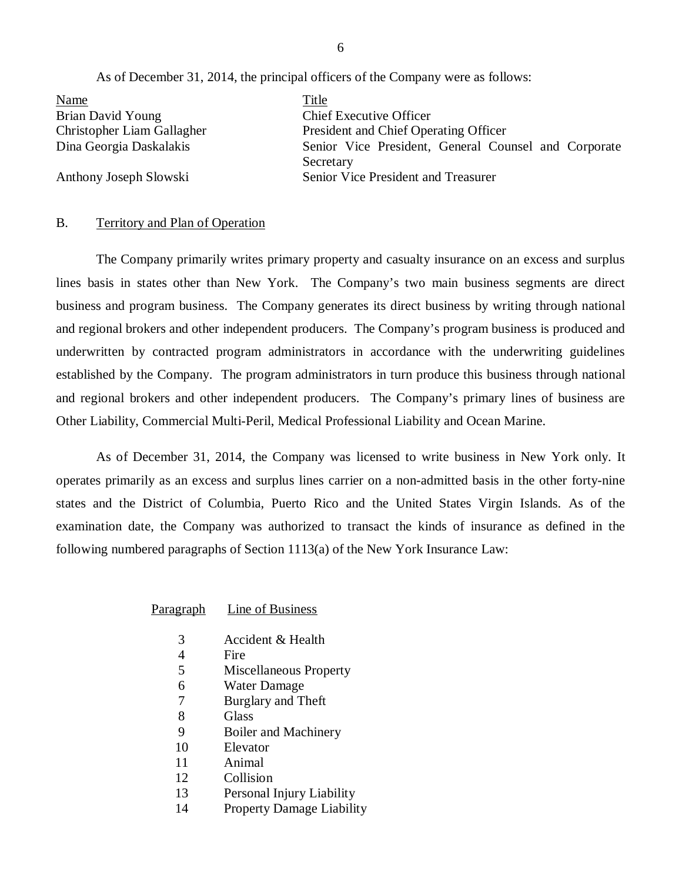As of December 31, 2014, the principal officers of the Company were as follows:

<span id="page-7-0"></span>

| <b>Name</b>                | Title                                                |
|----------------------------|------------------------------------------------------|
| Brian David Young          | <b>Chief Executive Officer</b>                       |
| Christopher Liam Gallagher | President and Chief Operating Officer                |
| Dina Georgia Daskalakis    | Senior Vice President, General Counsel and Corporate |
|                            | Secretary                                            |
| Anthony Joseph Slowski     | Senior Vice President and Treasurer                  |

### B. Territory and Plan of Operation

 lines basis in states other than New York. The Company's two main business segments are direct business and program business. The Company generates its direct business by writing through national and regional brokers and other independent producers. The Company's program business is produced and underwritten by contracted program administrators in accordance with the underwriting guidelines established by the Company. The program administrators in turn produce this business through national and regional brokers and other independent producers. The Company's primary lines of business are Other Liability, Commercial Multi-Peril, Medical Professional Liability and Ocean Marine. The Company primarily writes primary property and casualty insurance on an excess and surplus

 operates primarily as an excess and surplus lines carrier on a non-admitted basis in the other forty-nine states and the District of Columbia, Puerto Rico and the United States Virgin Islands. As of the examination date, the Company was authorized to transact the kinds of insurance as defined in the following numbered paragraphs of Section 1113(a) of the New York Insurance Law: As of December 31, 2014, the Company was licensed to write business in New York only. It

Paragraph Line of Business

- 3 Accident & Health
- $\overline{4}$ **Fire**
- 5 Miscellaneous Property
- 6 Water Damage
- 7 Burglary and Theft
- 8 **Glass**
- 9 Boiler and Machinery
- 10 Elevator
- 11 Animal
- 12 Collision
- 13 Personal Injury Liability
- 14 Property Damage Liability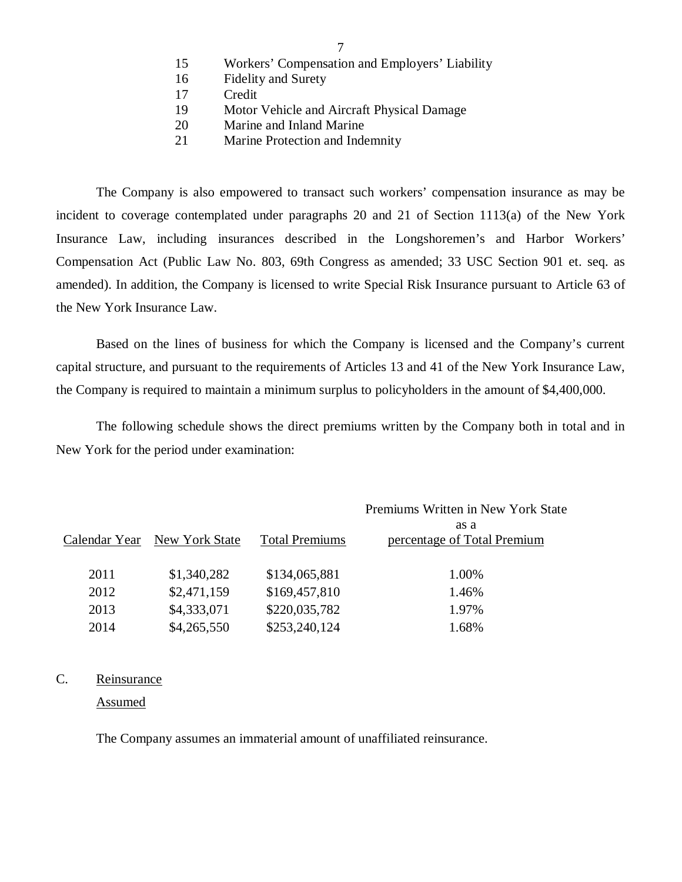- 15 Workers' Compensation and Employers' Liability
- 16 Fidelity and Surety
- 17 Credit
- 19 Motor Vehicle and Aircraft Physical Damage
- 20 Marine and Inland Marine
- 21 Marine Protection and Indemnity

 incident to coverage contemplated under paragraphs 20 and 21 of Section 1113(a) of the New York Insurance Law, including insurances described in the Longshoremen's and Harbor Workers' Compensation Act (Public Law No. 803, 69th Congress as amended; 33 USC Section 901 et. seq. as amended). In addition, the Company is licensed to write Special Risk Insurance pursuant to Article 63 of the New York Insurance Law. The Company is also empowered to transact such workers' compensation insurance as may be

 Based on the lines of business for which the Company is licensed and the Company's current capital structure, and pursuant to the requirements of Articles 13 and 41 of the New York Insurance Law, the Company is required to maintain a minimum surplus to policyholders in the amount of \$4,400,000.

 New York for the period under examination: The following schedule shows the direct premiums written by the Company both in total and in

|      |                              |                       | Premiums Written in New York State  |
|------|------------------------------|-----------------------|-------------------------------------|
|      | Calendar Year New York State | <b>Total Premiums</b> | as a<br>percentage of Total Premium |
| 2011 | \$1,340,282                  | \$134,065,881         | 1.00%                               |
| 2012 | \$2,471,159                  | \$169,457,810         | 1.46%                               |
| 2013 | \$4,333,071                  | \$220,035,782         | 1.97%                               |
| 2014 | \$4,265,550                  | \$253,240,124         | 1.68%                               |

### C. Reinsurance

Assumed

The Company assumes an immaterial amount of unaffiliated reinsurance.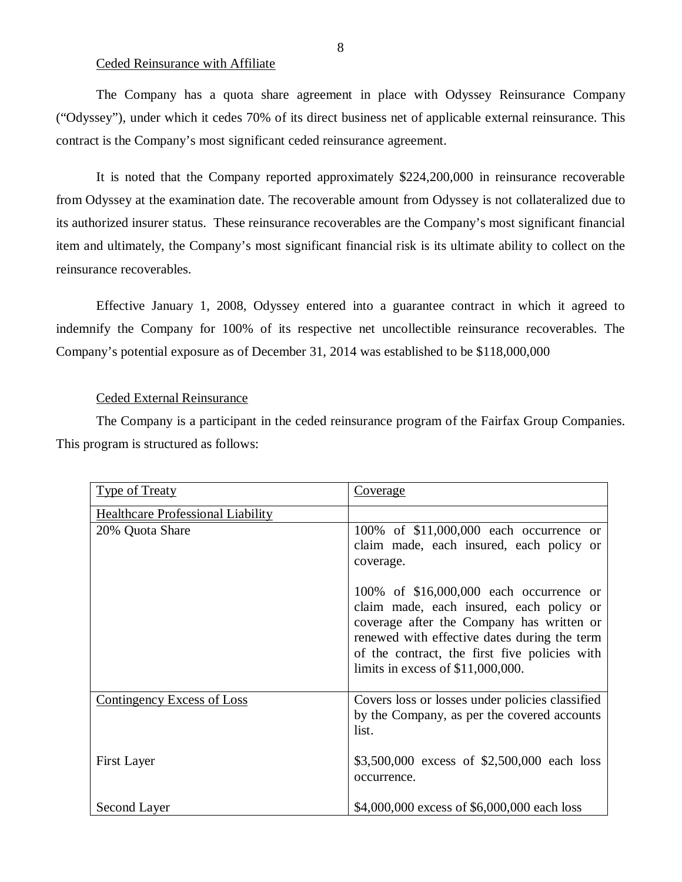#### Ceded Reinsurance with Affiliate

 The Company has a quota share agreement in place with Odyssey Reinsurance Company ("Odyssey"), under which it cedes 70% of its direct business net of applicable external reinsurance. This contract is the Company's most significant ceded reinsurance agreement.

 It is noted that the Company reported approximately \$224,200,000 in reinsurance recoverable from Odyssey at the examination date. The recoverable amount from Odyssey is not collateralized due to its authorized insurer status. These reinsurance recoverables are the Company's most significant financial item and ultimately, the Company's most significant financial risk is its ultimate ability to collect on the reinsurance recoverables.

 reinsurance recoverables. Effective January 1, 2008, Odyssey entered into a guarantee contract in which it agreed to indemnify the Company for 100% of its respective net uncollectible reinsurance recoverables. The Company's potential exposure as of December 31, 2014 was established to be \$118,000,000

#### Ceded External Reinsurance

 The Company is a participant in the ceded reinsurance program of the Fairfax Group Companies. This program is structured as follows:

| <b>Type of Treaty</b>                    | <u>Coverage</u>                                                                                                                                                                                                                                                          |
|------------------------------------------|--------------------------------------------------------------------------------------------------------------------------------------------------------------------------------------------------------------------------------------------------------------------------|
| <b>Healthcare Professional Liability</b> |                                                                                                                                                                                                                                                                          |
| 20% Quota Share                          | 100% of \$11,000,000 each occurrence or<br>claim made, each insured, each policy or<br>coverage.                                                                                                                                                                         |
|                                          | 100% of \$16,000,000 each occurrence or<br>claim made, each insured, each policy or<br>coverage after the Company has written or<br>renewed with effective dates during the term<br>of the contract, the first five policies with<br>limits in excess of $$11,000,000$ . |
| <b>Contingency Excess of Loss</b>        | Covers loss or losses under policies classified<br>by the Company, as per the covered accounts<br>list.                                                                                                                                                                  |
| <b>First Layer</b>                       | \$3,500,000 excess of \$2,500,000 each loss<br>occurrence.                                                                                                                                                                                                               |
| Second Layer                             | \$4,000,000 excess of \$6,000,000 each loss                                                                                                                                                                                                                              |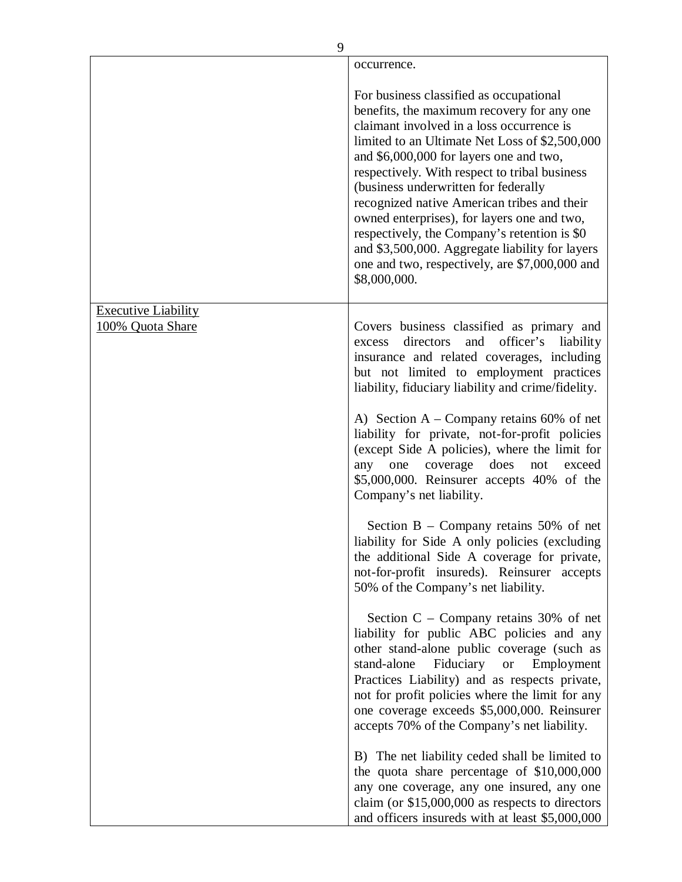|                            | occurrence.                                                                                                                                                                                                                                                                                                                                                                                                                                                                                                                                                                                 |
|----------------------------|---------------------------------------------------------------------------------------------------------------------------------------------------------------------------------------------------------------------------------------------------------------------------------------------------------------------------------------------------------------------------------------------------------------------------------------------------------------------------------------------------------------------------------------------------------------------------------------------|
|                            | For business classified as occupational<br>benefits, the maximum recovery for any one<br>claimant involved in a loss occurrence is<br>limited to an Ultimate Net Loss of \$2,500,000<br>and \$6,000,000 for layers one and two,<br>respectively. With respect to tribal business<br>(business underwritten for federally<br>recognized native American tribes and their<br>owned enterprises), for layers one and two,<br>respectively, the Company's retention is \$0<br>and \$3,500,000. Aggregate liability for layers<br>one and two, respectively, are \$7,000,000 and<br>\$8,000,000. |
| <b>Executive Liability</b> |                                                                                                                                                                                                                                                                                                                                                                                                                                                                                                                                                                                             |
| 100% Quota Share           | Covers business classified as primary and<br>directors<br>officer's<br>and<br>liability<br>excess<br>insurance and related coverages, including<br>but not limited to employment practices<br>liability, fiduciary liability and crime/fidelity.                                                                                                                                                                                                                                                                                                                                            |
|                            | A) Section $A - Company$ retains 60% of net<br>liability for private, not-for-profit policies<br>(except Side A policies), where the limit for<br>coverage does<br>one<br>not<br>exceed<br>any<br>\$5,000,000. Reinsurer accepts 40% of the<br>Company's net liability.                                                                                                                                                                                                                                                                                                                     |
|                            | Section $B - Company$ retains 50% of net<br>liability for Side A only policies (excluding<br>the additional Side A coverage for private,<br>not-for-profit insureds). Reinsurer accepts<br>50% of the Company's net liability.                                                                                                                                                                                                                                                                                                                                                              |
|                            | Section $C$ – Company retains 30% of net<br>liability for public ABC policies and any<br>other stand-alone public coverage (such as<br>stand-alone<br>Fiduciary<br><sub>or</sub><br>Employment<br>Practices Liability) and as respects private,<br>not for profit policies where the limit for any<br>one coverage exceeds \$5,000,000. Reinsurer<br>accepts 70% of the Company's net liability.                                                                                                                                                                                            |
|                            | B) The net liability ceded shall be limited to<br>the quota share percentage of \$10,000,000<br>any one coverage, any one insured, any one<br>claim (or $$15,000,000$ as respects to directors<br>and officers insureds with at least \$5,000,000                                                                                                                                                                                                                                                                                                                                           |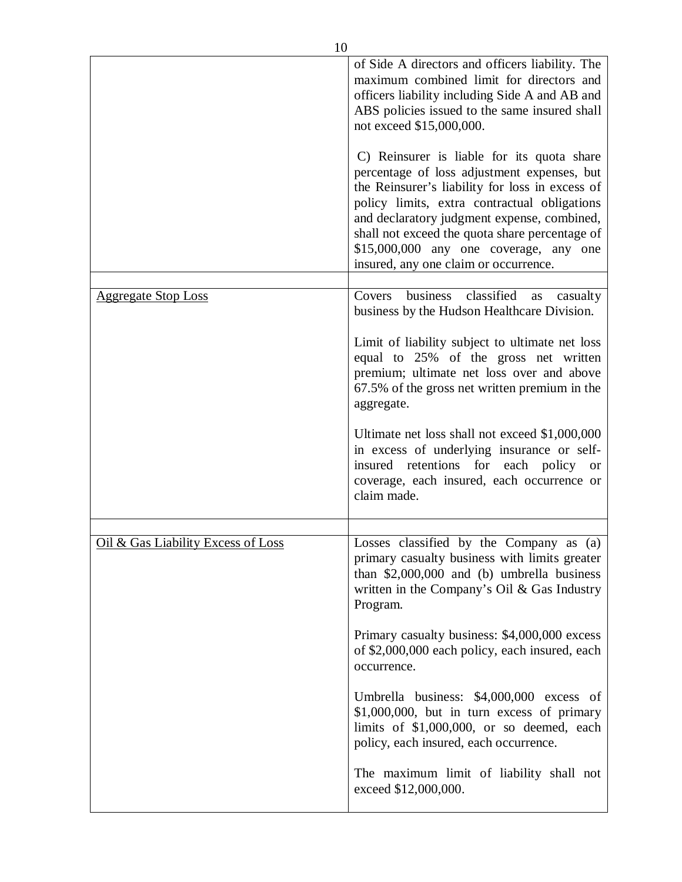|                                    | of Side A directors and officers liability. The<br>maximum combined limit for directors and<br>officers liability including Side A and AB and<br>ABS policies issued to the same insured shall<br>not exceed \$15,000,000.                                                                                                                                                       |
|------------------------------------|----------------------------------------------------------------------------------------------------------------------------------------------------------------------------------------------------------------------------------------------------------------------------------------------------------------------------------------------------------------------------------|
|                                    | C) Reinsurer is liable for its quota share<br>percentage of loss adjustment expenses, but<br>the Reinsurer's liability for loss in excess of<br>policy limits, extra contractual obligations<br>and declaratory judgment expense, combined,<br>shall not exceed the quota share percentage of<br>\$15,000,000 any one coverage, any one<br>insured, any one claim or occurrence. |
| <u>Aggregate Stop Loss</u>         | business classified<br>Covers<br>as<br>casualty                                                                                                                                                                                                                                                                                                                                  |
|                                    | business by the Hudson Healthcare Division.                                                                                                                                                                                                                                                                                                                                      |
|                                    | Limit of liability subject to ultimate net loss<br>equal to 25% of the gross net written<br>premium; ultimate net loss over and above<br>67.5% of the gross net written premium in the<br>aggregate.                                                                                                                                                                             |
|                                    | Ultimate net loss shall not exceed \$1,000,000<br>in excess of underlying insurance or self-<br>insured retentions for each policy or<br>coverage, each insured, each occurrence or<br>claim made.                                                                                                                                                                               |
|                                    |                                                                                                                                                                                                                                                                                                                                                                                  |
| Oil & Gas Liability Excess of Loss | Losses classified by the Company as (a)<br>primary casualty business with limits greater<br>than $$2,000,000$ and (b) umbrella business<br>written in the Company's Oil & Gas Industry<br>Program.                                                                                                                                                                               |
|                                    | Primary casualty business: \$4,000,000 excess<br>of \$2,000,000 each policy, each insured, each<br>occurrence.                                                                                                                                                                                                                                                                   |
|                                    | Umbrella business: \$4,000,000 excess of<br>\$1,000,000, but in turn excess of primary<br>limits of \$1,000,000, or so deemed, each<br>policy, each insured, each occurrence.                                                                                                                                                                                                    |
|                                    | The maximum limit of liability shall not<br>exceed \$12,000,000.                                                                                                                                                                                                                                                                                                                 |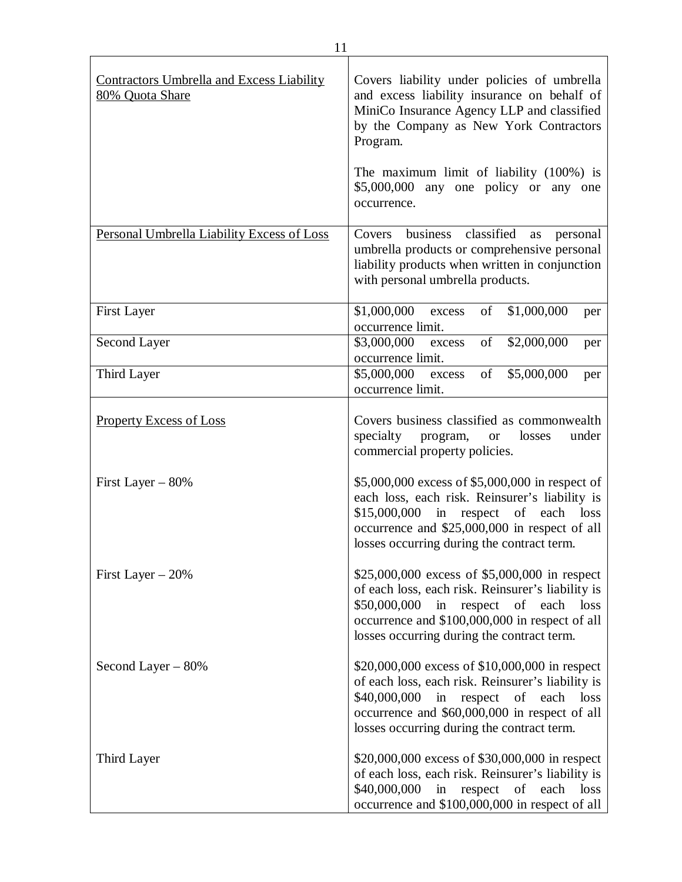| <b>Contractors Umbrella and Excess Liability</b><br>80% Quota Share | Covers liability under policies of umbrella<br>and excess liability insurance on behalf of<br>MiniCo Insurance Agency LLP and classified<br>by the Company as New York Contractors<br>Program.<br>The maximum limit of liability (100%) is<br>$$5,000,000$ any one policy or any one<br>occurrence. |
|---------------------------------------------------------------------|-----------------------------------------------------------------------------------------------------------------------------------------------------------------------------------------------------------------------------------------------------------------------------------------------------|
| Personal Umbrella Liability Excess of Loss                          | classified<br>business<br>Covers<br>personal<br>as<br>umbrella products or comprehensive personal<br>liability products when written in conjunction<br>with personal umbrella products.                                                                                                             |
| <b>First Layer</b>                                                  | \$1,000,000<br>of<br>\$1,000,000<br>excess<br>per<br>occurrence limit.                                                                                                                                                                                                                              |
| Second Layer                                                        | of<br>\$2,000,000<br>\$3,000,000<br>excess<br>per<br>occurrence limit.                                                                                                                                                                                                                              |
| Third Layer                                                         | \$5,000,000 excess<br>of<br>\$5,000,000<br>per<br>occurrence limit.                                                                                                                                                                                                                                 |
| <b>Property Excess of Loss</b>                                      | Covers business classified as commonwealth<br>specialty program,<br>under<br>losses<br><b>or</b><br>commercial property policies.                                                                                                                                                                   |
| First Layer $-80\%$                                                 | \$5,000,000 excess of \$5,000,000 in respect of<br>each loss, each risk. Reinsurer's liability is<br>\$15,000,000<br>respect of each<br>in<br>loss<br>occurrence and \$25,000,000 in respect of all<br>losses occurring during the contract term.                                                   |
| First Layer $-20\%$                                                 | \$25,000,000 excess of \$5,000,000 in respect<br>of each loss, each risk. Reinsurer's liability is<br>\$50,000,000<br>in<br>respect of each<br>loss<br>occurrence and \$100,000,000 in respect of all<br>losses occurring during the contract term.                                                 |
| Second Layer $-80%$                                                 | \$20,000,000 excess of \$10,000,000 in respect<br>of each loss, each risk. Reinsurer's liability is<br>in respect of each loss<br>\$40,000,000<br>occurrence and \$60,000,000 in respect of all<br>losses occurring during the contract term.                                                       |
| Third Layer                                                         | \$20,000,000 excess of \$30,000,000 in respect<br>of each loss, each risk. Reinsurer's liability is<br>\$40,000,000<br>in respect of each<br>loss<br>occurrence and \$100,000,000 in respect of all                                                                                                 |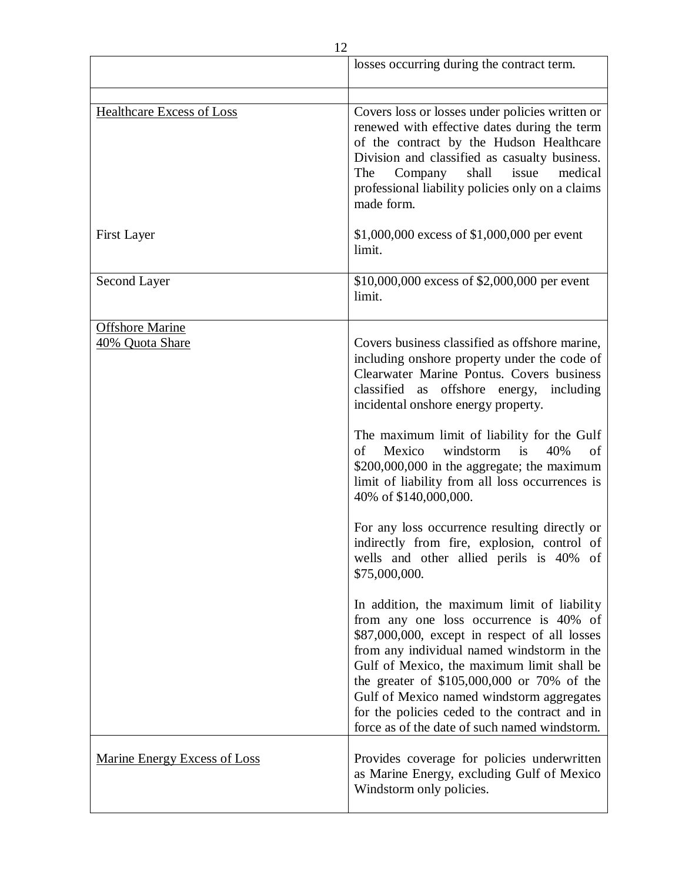|                                           | losses occurring during the contract term.                                                                                                                                                                                                                                                                                                                                                                                                                                                                                                                                                                                                                                                                                                                                                                                                                                                                                                                                                                                                                          |
|-------------------------------------------|---------------------------------------------------------------------------------------------------------------------------------------------------------------------------------------------------------------------------------------------------------------------------------------------------------------------------------------------------------------------------------------------------------------------------------------------------------------------------------------------------------------------------------------------------------------------------------------------------------------------------------------------------------------------------------------------------------------------------------------------------------------------------------------------------------------------------------------------------------------------------------------------------------------------------------------------------------------------------------------------------------------------------------------------------------------------|
| <b>Healthcare Excess of Loss</b>          | Covers loss or losses under policies written or<br>renewed with effective dates during the term<br>of the contract by the Hudson Healthcare<br>Division and classified as casualty business.<br>shall<br>issue<br>medical<br>The<br>Company<br>professional liability policies only on a claims<br>made form.                                                                                                                                                                                                                                                                                                                                                                                                                                                                                                                                                                                                                                                                                                                                                       |
| <b>First Layer</b>                        | \$1,000,000 excess of \$1,000,000 per event<br>limit.                                                                                                                                                                                                                                                                                                                                                                                                                                                                                                                                                                                                                                                                                                                                                                                                                                                                                                                                                                                                               |
| Second Layer                              | \$10,000,000 excess of \$2,000,000 per event<br>limit.                                                                                                                                                                                                                                                                                                                                                                                                                                                                                                                                                                                                                                                                                                                                                                                                                                                                                                                                                                                                              |
| <b>Offshore Marine</b><br>40% Quota Share | Covers business classified as offshore marine,<br>including onshore property under the code of<br>Clearwater Marine Pontus. Covers business<br>classified as offshore energy, including<br>incidental onshore energy property.<br>The maximum limit of liability for the Gulf<br>windstorm<br>$\mathbf{i}$ s<br>of<br>Mexico<br>40%<br>of<br>\$200,000,000 in the aggregate; the maximum<br>limit of liability from all loss occurrences is<br>40% of \$140,000,000.<br>For any loss occurrence resulting directly or<br>indirectly from fire, explosion, control of<br>wells and other allied perils is 40% of<br>\$75,000,000.<br>In addition, the maximum limit of liability<br>from any one loss occurrence is 40% of<br>\$87,000,000, except in respect of all losses<br>from any individual named windstorm in the<br>Gulf of Mexico, the maximum limit shall be<br>the greater of \$105,000,000 or 70% of the<br>Gulf of Mexico named windstorm aggregates<br>for the policies ceded to the contract and in<br>force as of the date of such named windstorm. |
| <b>Marine Energy Excess of Loss</b>       | Provides coverage for policies underwritten<br>as Marine Energy, excluding Gulf of Mexico<br>Windstorm only policies.                                                                                                                                                                                                                                                                                                                                                                                                                                                                                                                                                                                                                                                                                                                                                                                                                                                                                                                                               |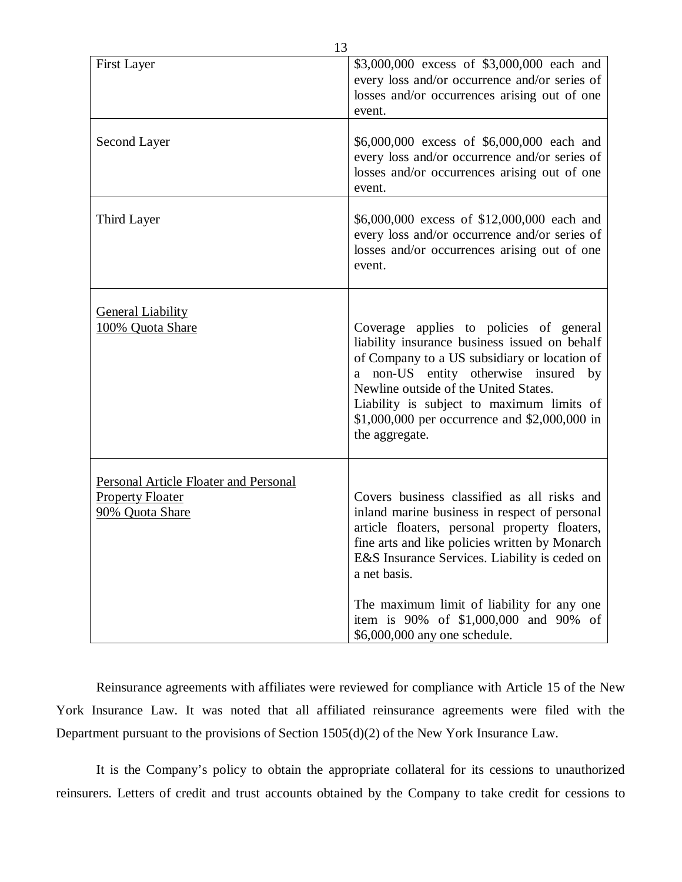| <b>First Layer</b>                                                                  | \$3,000,000 excess of \$3,000,000 each and<br>every loss and/or occurrence and/or series of<br>losses and/or occurrences arising out of one<br>event.                                                                                                                                                                                        |
|-------------------------------------------------------------------------------------|----------------------------------------------------------------------------------------------------------------------------------------------------------------------------------------------------------------------------------------------------------------------------------------------------------------------------------------------|
| Second Layer                                                                        | \$6,000,000 excess of \$6,000,000 each and<br>every loss and/or occurrence and/or series of<br>losses and/or occurrences arising out of one<br>event.                                                                                                                                                                                        |
| Third Layer                                                                         | \$6,000,000 excess of \$12,000,000 each and<br>every loss and/or occurrence and/or series of<br>losses and/or occurrences arising out of one<br>event.                                                                                                                                                                                       |
| <b>General Liability</b><br>100% Quota Share                                        | Coverage applies to policies of general<br>liability insurance business issued on behalf<br>of Company to a US subsidiary or location of<br>a non-US entity otherwise insured<br>by<br>Newline outside of the United States.<br>Liability is subject to maximum limits of<br>\$1,000,000 per occurrence and \$2,000,000 in<br>the aggregate. |
| Personal Article Floater and Personal<br><b>Property Floater</b><br>90% Quota Share | Covers business classified as all risks and<br>inland marine business in respect of personal<br>article floaters, personal property floaters,<br>fine arts and like policies written by Monarch<br>E&S Insurance Services. Liability is ceded on<br>a net basis.                                                                             |
|                                                                                     | The maximum limit of liability for any one<br>item is 90% of \$1,000,000 and 90% of<br>\$6,000,000 any one schedule.                                                                                                                                                                                                                         |

 Reinsurance agreements with affiliates were reviewed for compliance with Article 15 of the New York Insurance Law. It was noted that all affiliated reinsurance agreements were filed with the Department pursuant to the provisions of Section 1505(d)(2) of the New York Insurance Law.

 It is the Company's policy to obtain the appropriate collateral for its cessions to unauthorized reinsurers. Letters of credit and trust accounts obtained by the Company to take credit for cessions to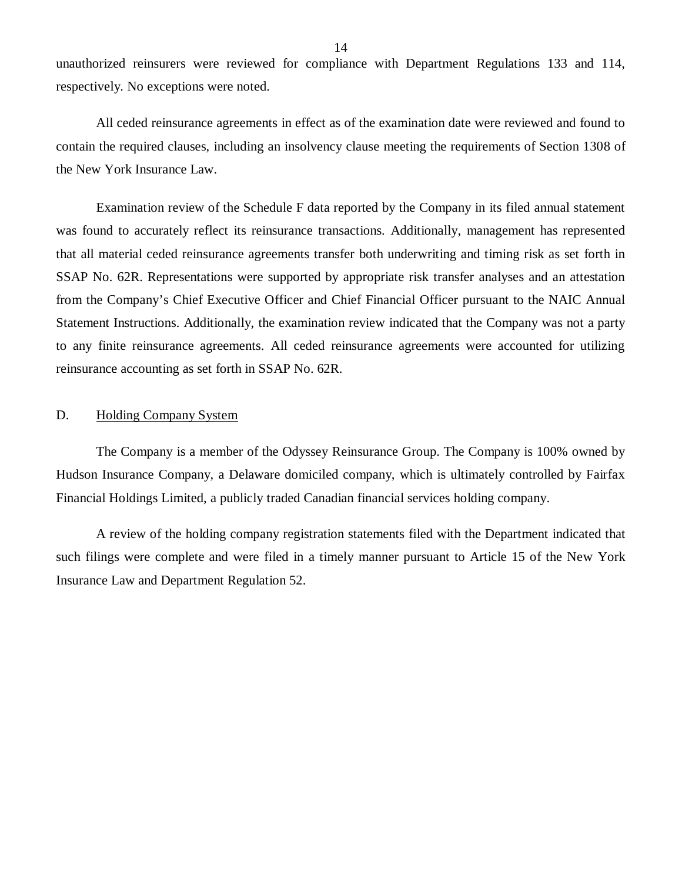<span id="page-15-0"></span> unauthorized reinsurers were reviewed for compliance with Department Regulations 133 and 114, respectively. No exceptions were noted.

 contain the required clauses, including an insolvency clause meeting the requirements of Section 1308 of the New York Insurance Law. All ceded reinsurance agreements in effect as of the examination date were reviewed and found to

 Examination review of the Schedule F data reported by the Company in its filed annual statement was found to accurately reflect its reinsurance transactions. Additionally, management has represented that all material ceded reinsurance agreements transfer both underwriting and timing risk as set forth in SSAP No. 62R. Representations were supported by appropriate risk transfer analyses and an attestation from the Company's Chief Executive Officer and Chief Financial Officer pursuant to the NAIC Annual Statement Instructions. Additionally, the examination review indicated that the Company was not a party to any finite reinsurance agreements. All ceded reinsurance agreements were accounted for utilizing reinsurance accounting as set forth in SSAP No. 62R.

#### D. Holding Company System

 Hudson Insurance Company, a Delaware domiciled company, which is ultimately controlled by Fairfax Financial Holdings Limited, a publicly traded Canadian financial services holding company. The Company is a member of the Odyssey Reinsurance Group. The Company is 100% owned by

 such filings were complete and were filed in a timely manner pursuant to Article 15 of the New York Insurance Law and Department Regulation 52. A review of the holding company registration statements filed with the Department indicated that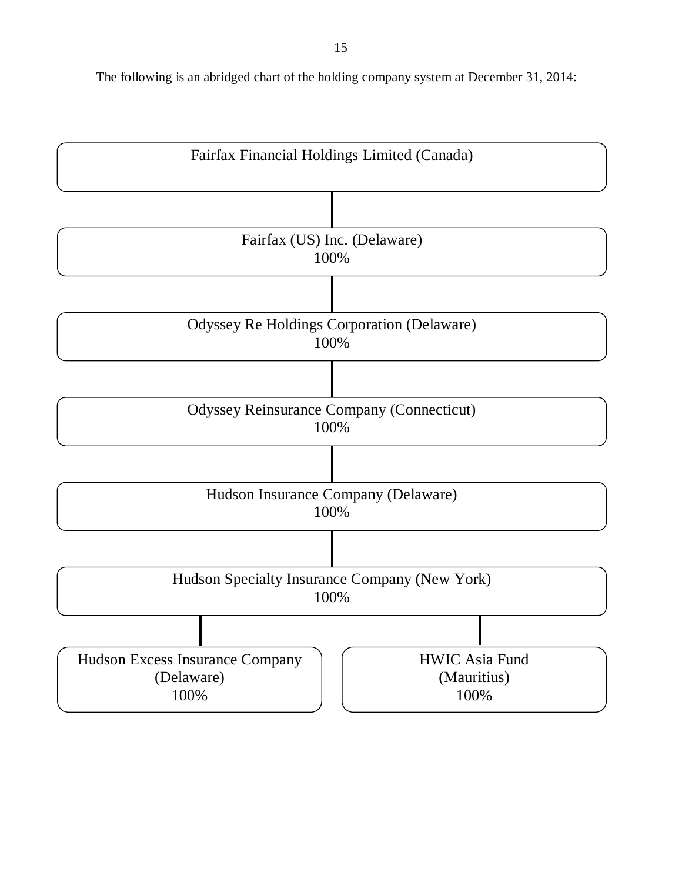The following is an abridged chart of the holding company system at December 31, 2014:

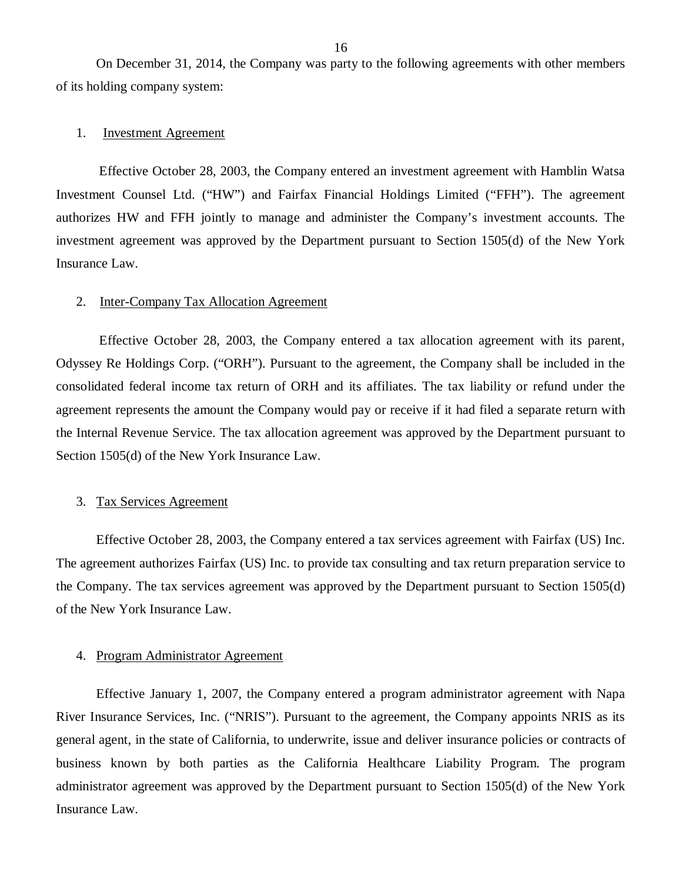of its holding company system: On December 31, 2014, the Company was party to the following agreements with other members

#### 1. Investment Agreement

 Investment Counsel Ltd. ("HW") and Fairfax Financial Holdings Limited ("FFH"). The agreement authorizes HW and FFH jointly to manage and administer the Company's investment accounts. The investment agreement was approved by the Department pursuant to Section 1505(d) of the New York Insurance Law. Effective October 28, 2003, the Company entered an investment agreement with Hamblin Watsa

#### 2. Inter-Company Tax Allocation Agreement

 Odyssey Re Holdings Corp. ("ORH"). Pursuant to the agreement, the Company shall be included in the consolidated federal income tax return of ORH and its affiliates. The tax liability or refund under the agreement represents the amount the Company would pay or receive if it had filed a separate return with the Internal Revenue Service. The tax allocation agreement was approved by the Department pursuant to Section 1505(d) of the New York Insurance Law. Effective October 28, 2003, the Company entered a tax allocation agreement with its parent,

#### 3. Tax Services Agreement

 Effective October 28, 2003, the Company entered a tax services agreement with Fairfax (US) Inc. The agreement authorizes Fairfax (US) Inc. to provide tax consulting and tax return preparation service to the Company. The tax services agreement was approved by the Department pursuant to Section 1505(d) of the New York Insurance Law.

#### 4. Program Administrator Agreement

 Effective January 1, 2007, the Company entered a program administrator agreement with Napa River Insurance Services, Inc. ("NRIS"). Pursuant to the agreement, the Company appoints NRIS as its general agent, in the state of California, to underwrite, issue and deliver insurance policies or contracts of business known by both parties as the California Healthcare Liability Program. The program administrator agreement was approved by the Department pursuant to Section 1505(d) of the New York Insurance Law.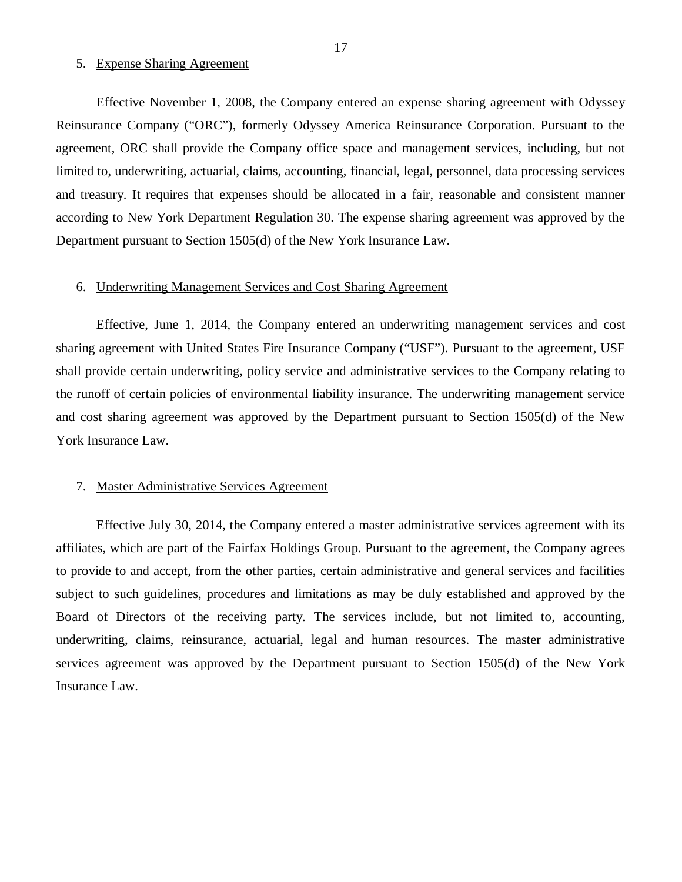#### 5. Expense Sharing Agreement

 Effective November 1, 2008, the Company entered an expense sharing agreement with Odyssey Reinsurance Company ("ORC"), formerly Odyssey America Reinsurance Corporation. Pursuant to the agreement, ORC shall provide the Company office space and management services, including, but not limited to, underwriting, actuarial, claims, accounting, financial, legal, personnel, data processing services and treasury. It requires that expenses should be allocated in a fair, reasonable and consistent manner according to New York Department Regulation 30. The expense sharing agreement was approved by the Department pursuant to Section 1505(d) of the New York Insurance Law.

#### 6. Underwriting Management Services and Cost Sharing Agreement

 Effective, June 1, 2014, the Company entered an underwriting management services and cost sharing agreement with United States Fire Insurance Company ("USF"). Pursuant to the agreement, USF shall provide certain underwriting, policy service and administrative services to the Company relating to the runoff of certain policies of environmental liability insurance. The underwriting management service and cost sharing agreement was approved by the Department pursuant to Section 1505(d) of the New York Insurance Law.

#### 7. Master Administrative Services Agreement

 Effective July 30, 2014, the Company entered a master administrative services agreement with its affiliates, which are part of the Fairfax Holdings Group. Pursuant to the agreement, the Company agrees to provide to and accept, from the other parties, certain administrative and general services and facilities subject to such guidelines, procedures and limitations as may be duly established and approved by the Board of Directors of the receiving party. The services include, but not limited to, accounting, underwriting, claims, reinsurance, actuarial, legal and human resources. The master administrative services agreement was approved by the Department pursuant to Section 1505(d) of the New York Insurance Law.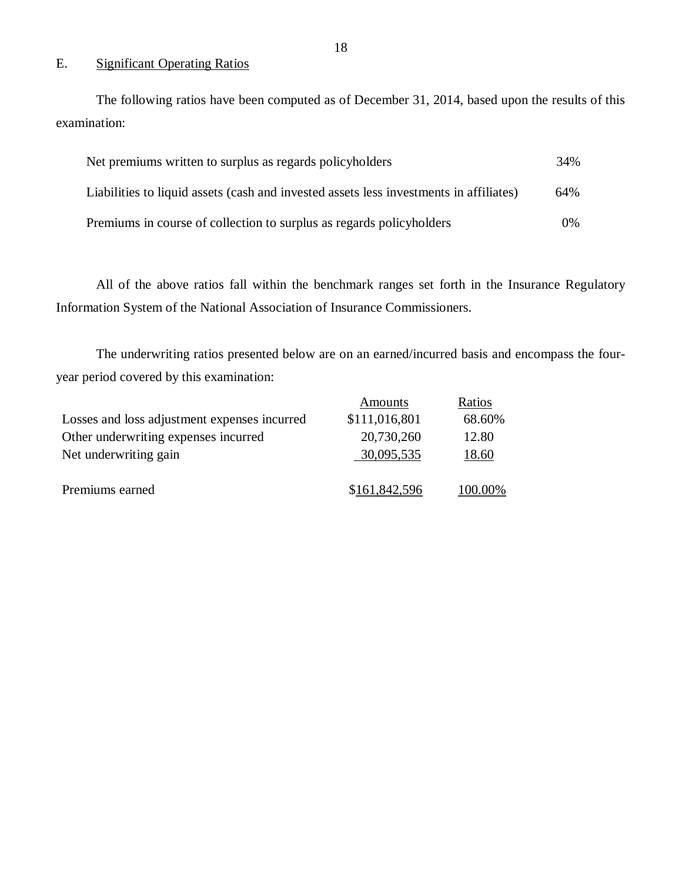# E. Significant Operating Ratios

The following ratios have been computed as of December 31, 2014, based upon the results of this examination:

| Net premiums written to surplus as regards policyholders                               | 34%   |
|----------------------------------------------------------------------------------------|-------|
| Liabilities to liquid assets (cash and invested assets less investments in affiliates) | 64%   |
| Premiums in course of collection to surplus as regards policyholders                   | $0\%$ |

 Information System of the National Association of Insurance Commissioners. All of the above ratios fall within the benchmark ranges set forth in the Insurance Regulatory

 The underwriting ratios presented below are on an earned/incurred basis and encompass the four-year period covered by this examination:

|                                              | Amounts       | Ratios  |
|----------------------------------------------|---------------|---------|
| Losses and loss adjustment expenses incurred | \$111,016,801 | 68.60%  |
| Other underwriting expenses incurred         | 20,730,260    | 12.80   |
| Net underwriting gain                        | 30,095,535    | 18.60   |
|                                              |               |         |
| Premiums earned                              | \$161,842,596 | 100.00% |
|                                              |               |         |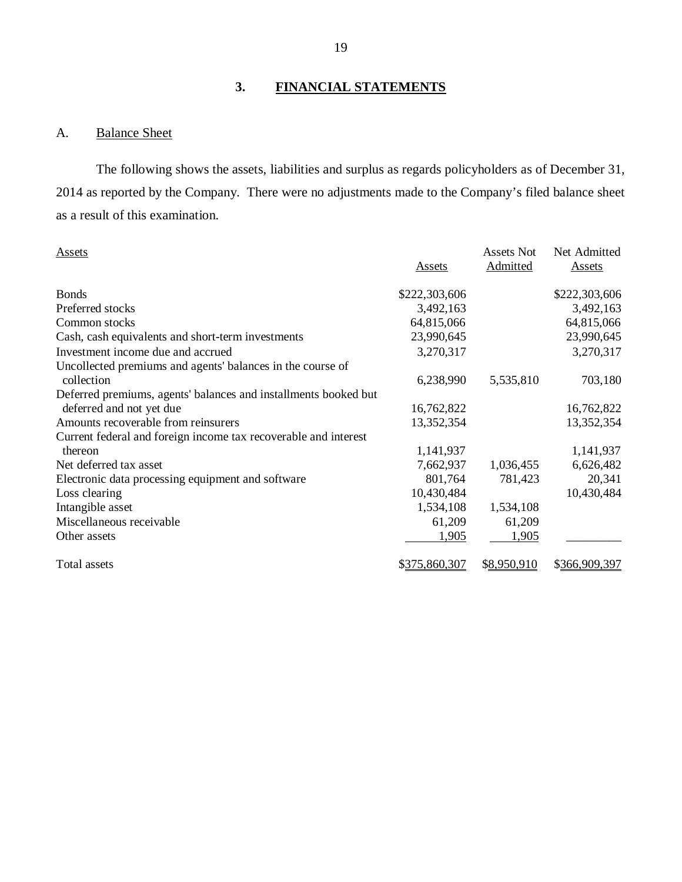# **3. FINANCIAL STATEMENTS**

#### A. **Balance Sheet**

 2014 as reported by the Company. There were no adjustments made to the Company's filed balance sheet as a result of this examination. The following shows the assets, liabilities and surplus as regards policyholders as of December 31,

| Assets                                                          | Assets        | <b>Assets Not</b><br>Admitted | Net Admitted<br>Assets |
|-----------------------------------------------------------------|---------------|-------------------------------|------------------------|
|                                                                 |               |                               |                        |
| <b>Bonds</b>                                                    | \$222,303,606 |                               | \$222,303,606          |
| Preferred stocks                                                | 3,492,163     |                               | 3,492,163              |
| Common stocks                                                   | 64,815,066    |                               | 64,815,066             |
| Cash, cash equivalents and short-term investments               | 23,990,645    |                               | 23,990,645             |
| Investment income due and accrued                               | 3,270,317     |                               | 3,270,317              |
| Uncollected premiums and agents' balances in the course of      |               |                               |                        |
| collection                                                      | 6,238,990     | 5,535,810                     | 703,180                |
| Deferred premiums, agents' balances and installments booked but |               |                               |                        |
| deferred and not yet due                                        | 16,762,822    |                               | 16,762,822             |
| Amounts recoverable from reinsurers                             | 13,352,354    |                               | 13,352,354             |
| Current federal and foreign income tax recoverable and interest |               |                               |                        |
| thereon                                                         | 1,141,937     |                               | 1,141,937              |
| Net deferred tax asset                                          | 7,662,937     | 1,036,455                     | 6,626,482              |
| Electronic data processing equipment and software               | 801,764       | 781,423                       | 20,341                 |
| Loss clearing                                                   | 10,430,484    |                               | 10,430,484             |
| Intangible asset                                                | 1,534,108     | 1,534,108                     |                        |
| Miscellaneous receivable                                        | 61,209        | 61,209                        |                        |
| Other assets                                                    | 1,905         | 1,905                         |                        |
|                                                                 |               |                               |                        |
| Total assets                                                    | \$375,860,307 | \$8,950,910                   | \$366,909,397          |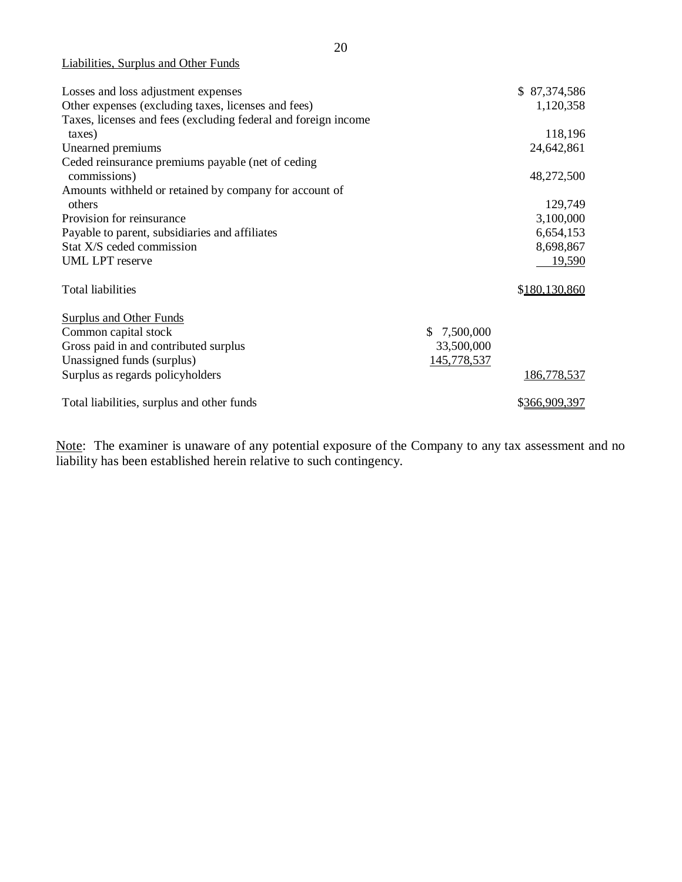|  | Liabilities, Surplus and Other Funds |  |  |  |
|--|--------------------------------------|--|--|--|
|--|--------------------------------------|--|--|--|

| Losses and loss adjustment expenses                            |                 | \$87,374,586  |
|----------------------------------------------------------------|-----------------|---------------|
| Other expenses (excluding taxes, licenses and fees)            |                 | 1,120,358     |
| Taxes, licenses and fees (excluding federal and foreign income |                 |               |
| taxes)                                                         |                 | 118,196       |
| Unearned premiums                                              |                 | 24,642,861    |
| Ceded reinsurance premiums payable (net of ceding              |                 |               |
| commissions)                                                   |                 | 48,272,500    |
| Amounts withheld or retained by company for account of         |                 |               |
| others                                                         |                 | 129,749       |
| Provision for reinsurance                                      |                 | 3,100,000     |
| Payable to parent, subsidiaries and affiliates                 |                 | 6,654,153     |
| Stat X/S ceded commission                                      |                 | 8,698,867     |
| <b>UML LPT</b> reserve                                         |                 | 19,590        |
| <b>Total liabilities</b>                                       |                 | \$180,130,860 |
|                                                                |                 |               |
| <b>Surplus and Other Funds</b>                                 |                 |               |
| Common capital stock                                           | 7,500,000<br>\$ |               |
| Gross paid in and contributed surplus                          | 33,500,000      |               |
| Unassigned funds (surplus)                                     | 145,778,537     |               |
| Surplus as regards policyholders                               |                 | 186,778,537   |
| Total liabilities, surplus and other funds                     |                 | \$366,909,397 |

Note: The examiner is unaware of any potential exposure of the Company to any tax assessment and no liability has been established herein relative to such contingency.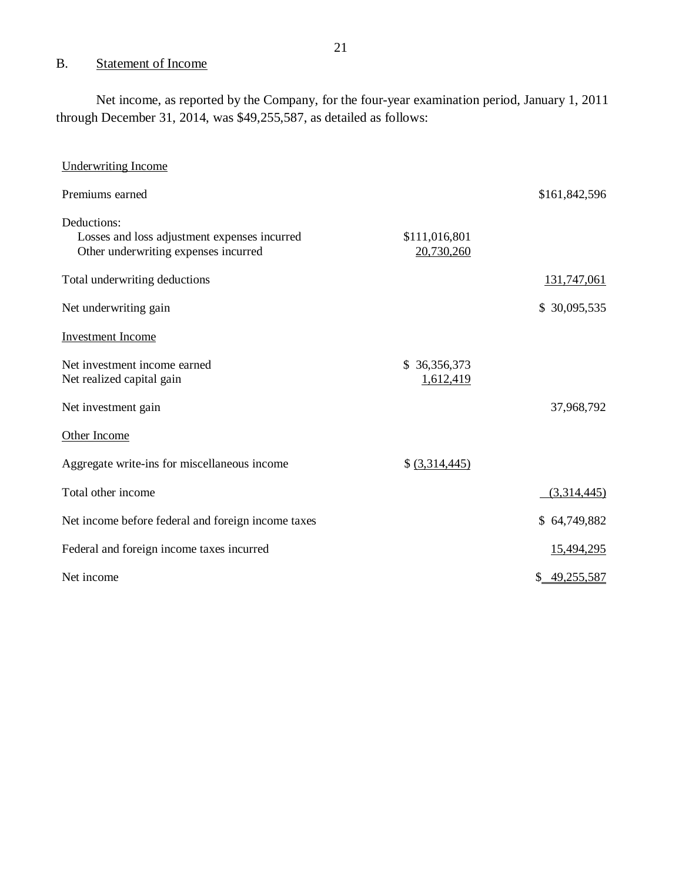#### <span id="page-22-0"></span>B. Statement of Income

 Net income, as reported by the Company, for the four-year examination period, January 1, 2011 through December 31, 2014, was \$49,255,587, as detailed as follows:

| <b>Underwriting Income</b>                                                                          |                             |               |
|-----------------------------------------------------------------------------------------------------|-----------------------------|---------------|
| Premiums earned                                                                                     |                             | \$161,842,596 |
| Deductions:<br>Losses and loss adjustment expenses incurred<br>Other underwriting expenses incurred | \$111,016,801<br>20,730,260 |               |
| Total underwriting deductions                                                                       |                             | 131,747,061   |
| Net underwriting gain                                                                               |                             | \$30,095,535  |
| <b>Investment Income</b>                                                                            |                             |               |
| Net investment income earned<br>Net realized capital gain                                           | \$36,356,373<br>1,612,419   |               |
| Net investment gain                                                                                 |                             | 37,968,792    |
| Other Income                                                                                        |                             |               |
| Aggregate write-ins for miscellaneous income                                                        | $$$ (3,314,445)             |               |
| Total other income                                                                                  |                             | (3,314,445)   |
| Net income before federal and foreign income taxes                                                  |                             | \$64,749,882  |
| Federal and foreign income taxes incurred                                                           |                             | 15,494,295    |
| Net income                                                                                          |                             | \$49,255,587  |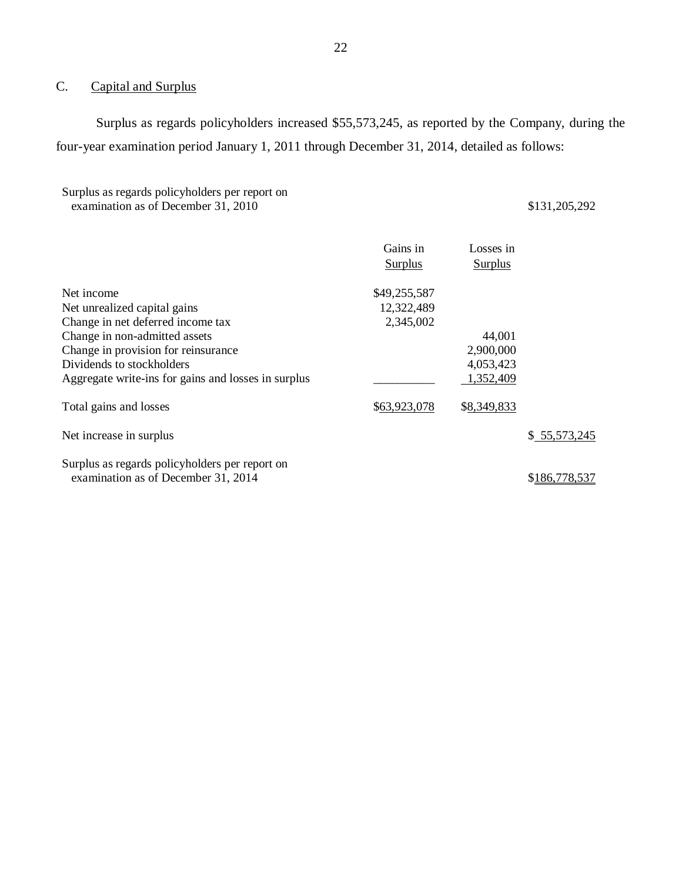#### $C$ . Capital and Surplus

 Surplus as regards policyholders increased \$55,573,245, as reported by the Company, during the four-year examination period January 1, 2011 through December 31, 2014, detailed as follows:

#### Surplus as regards policyholders per report on examination as of December 31, 2010 \$131,205,292

|                                                     | Gains in       | Losses in      |               |
|-----------------------------------------------------|----------------|----------------|---------------|
|                                                     | <b>Surplus</b> | <b>Surplus</b> |               |
| Net income                                          | \$49,255,587   |                |               |
| Net unrealized capital gains                        | 12,322,489     |                |               |
| Change in net deferred income tax                   | 2,345,002      |                |               |
| Change in non-admitted assets                       |                | 44,001         |               |
| Change in provision for reinsurance                 |                | 2,900,000      |               |
| Dividends to stockholders                           |                | 4,053,423      |               |
| Aggregate write-ins for gains and losses in surplus |                | 1,352,409      |               |
| Total gains and losses                              | \$63,923,078   | \$8,349,833    |               |
| Net increase in surplus                             |                |                | \$55,573,245  |
| Surplus as regards policyholders per report on      |                |                |               |
| examination as of December 31, 2014                 |                |                | \$186,778,537 |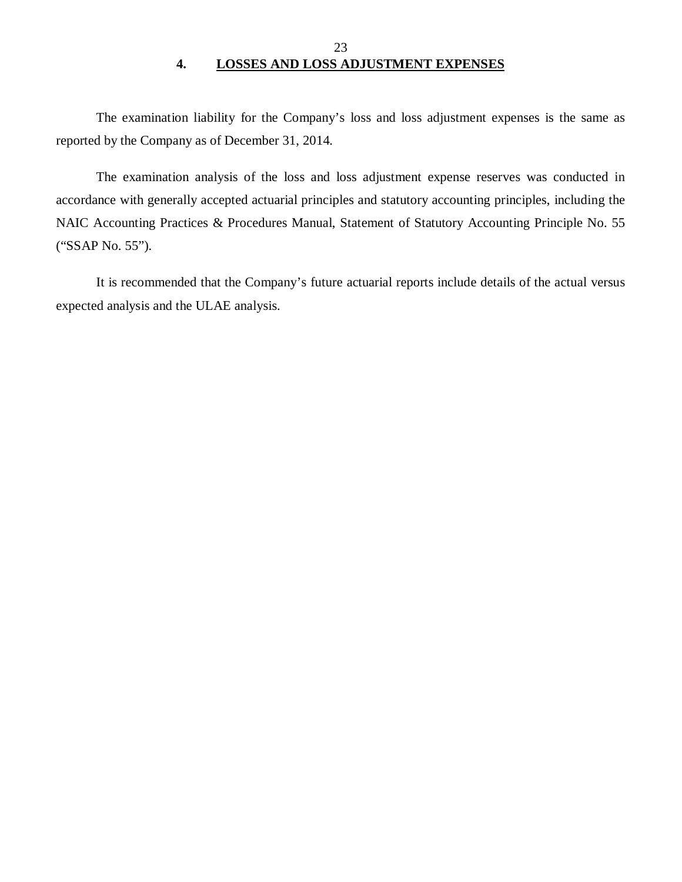# 23 **4. LOSSES AND LOSS ADJUSTMENT EXPENSES**

<span id="page-24-0"></span> reported by the Company as of December 31, 2014. The examination liability for the Company's loss and loss adjustment expenses is the same as

 The examination analysis of the loss and loss adjustment expense reserves was conducted in accordance with generally accepted actuarial principles and statutory accounting principles, including the NAIC Accounting Practices & Procedures Manual, Statement of Statutory Accounting Principle No. 55 ("SSAP No. 55").

 It is recommended that the Company's future actuarial reports include details of the actual versus expected analysis and the ULAE analysis.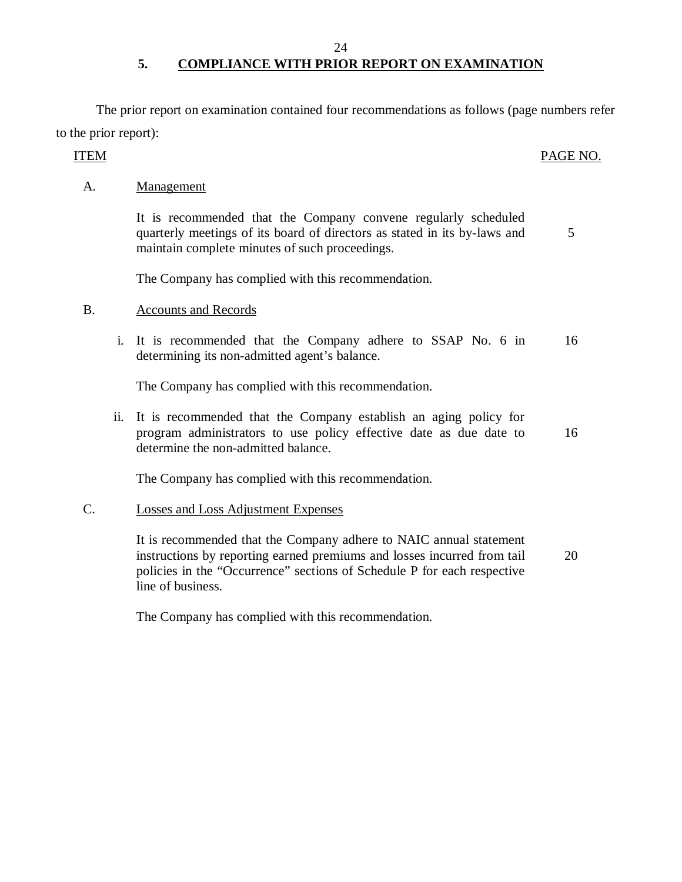#### 24

# **5. COMPLIANCE WITH PRIOR REPORT ON EXAMINATION**

 The prior report on examination contained four recommendations as follows (page numbers refer to the prior report):

#### PAGE NO. ITEM PAGE NO.

A. Management

quarterly meetings of its board of directors as stated in its by-laws and 5 maintain complete minutes of such proceedings. It is recommended that the Company convene regularly scheduled

The Company has complied with this recommendation.

## B. Accounts and Records

 i. It is recommended that the Company adhere to SSAP No. 6 in 16 determining its non-admitted agent's balance.

The Company has complied with this recommendation.

 ii. It is recommended that the Company establish an aging policy for program administrators to use policy effective date as due date to determine the non-admitted balance. 16

The Company has complied with this recommendation.

## C. Losses and Loss Adjustment Expenses

 It is recommended that the Company adhere to NAIC annual statement instructions by reporting earned premiums and losses incurred from tail policies in the "Occurrence" sections of Schedule P for each respective line of business. 20

The Company has complied with this recommendation.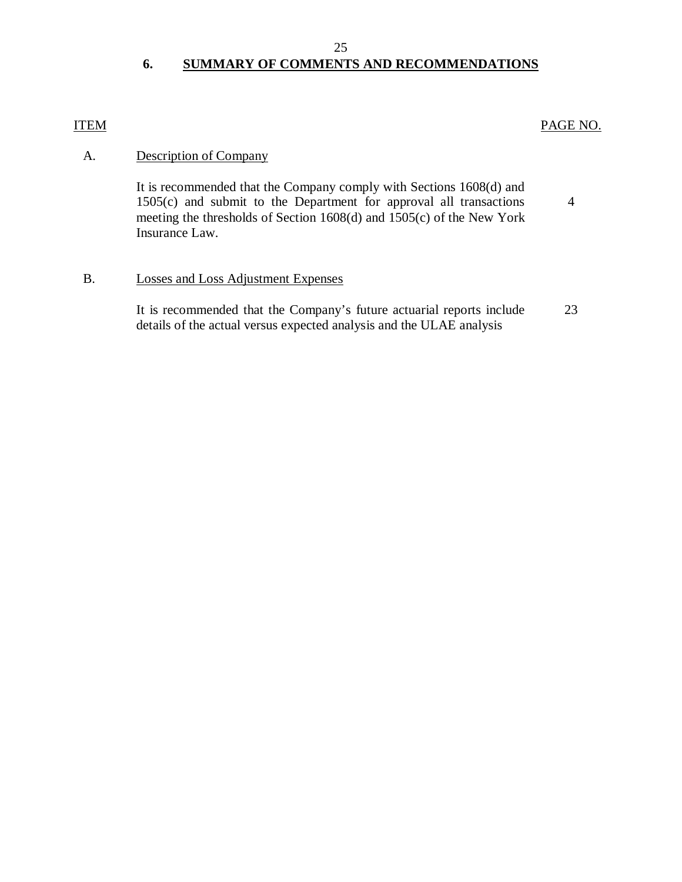#### 25

# **6. SUMMARY OF COMMENTS AND RECOMMENDATIONS**

# <span id="page-26-0"></span>ITEM PAGE NO.

# A. Description of Company

 1505(c) and submit to the Department for approval all transactions meeting the thresholds of Section 1608(d) and 1505(c) of the New York Insurance Law. 4 It is recommended that the Company comply with Sections 1608(d) and

# B. Losses and Loss Adjustment Expenses

 It is recommended that the Company's future actuarial reports include 23 details of the actual versus expected analysis and the ULAE analysis